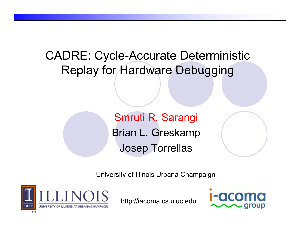CADRE: Cycle-Accurate Deterministic Replay for Hardware Debugging

> Smruti R. Sarangi Brian L. Greskamp Josep Torrellas

University of Illinois Urbana Champaign



http://iacoma.cs.uiuc.edu

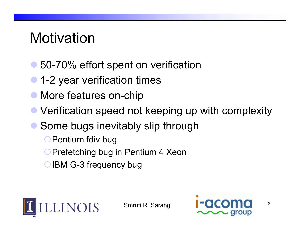## Motivation

- 50-70% effort spent on verification
- $\bullet$ 1-2 year verification times
- $\bullet$ More features on-chip
- $\bullet$ Verification speed not keeping up with complexity
- Some bugs inevitably slip through
	- **O** Pentium fdiv bug
	- **O Prefetching bug in Pentium 4 Xeon**
	- **○IBM G-3 frequency bug**



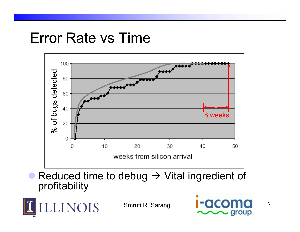#### Error Rate vs Time



• Reduced time to debug  $\rightarrow$  Vital ingredient of profitability



Smruti R. Sarangi

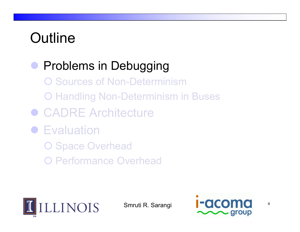# **Outline**

**• Problems in Debugging O Sources of Non-Determinism** { Handling Non-Determinism in Buses ● CADRE Architecture **• Evaluation** O Space Overhead { Performance Overhead



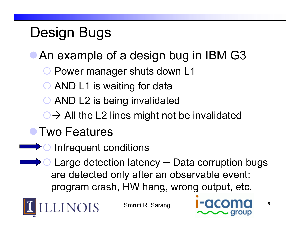# Design Bugs

- An example of a design bug in IBM G3
	- **O Power manager shuts down L1**
	- **O AND L1 is waiting for data**
	- **O AND L2 is being invalidated**
	- $\bigcirc$   $\rightarrow$  All the L2 lines might not be invalidated

#### **• Two Features**

- **O** Infrequent conditions
- Large detection latency Data corruption bugs are detected only after an observable event: program crash, HW hang, wrong output, etc.



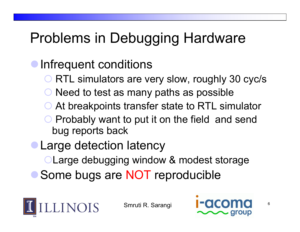# Problems in Debugging Hardware

#### Infrequent conditions

- **O RTL simulators are very slow, roughly 30 cyc/s**
- ${\color{black} \bigcirc}$ Need to test as many paths as possible
- ${\color{black} \bigcirc}$ At breakpoints transfer state to RTL simulato r
- ${\color{black} \bigcirc}$  Probably want to put it on the field and send bug reports back
- **Large detection latency** 
	- **OLarge debugging window & modest storage**
	- Some bugs are NOT reproducible



Smruti R. Sarangi



6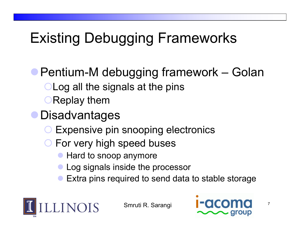## **Existing Debugging Frameworks**

**• Pentium-M debugging framework** – Golan **OLog all the signals at the pins OReplay them** 

- **Disadvantages** 
	- ${\color{black} \bigcirc}$ Expensive pin snooping electronics
	- **O** For very high speed buses
		- Hard to snoop anymore
		- Log signals inside the processor
		- $\bullet$ Extra pins required to send data to stable storage



Smruti R. Sarangi



7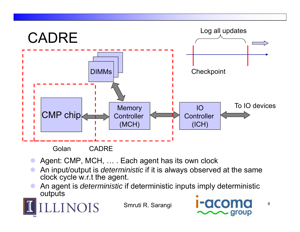

- $\bullet$ ● Agent: CMP, MCH, … . Each agent has its own clock
- $\bullet$  An input/output is *deterministic* if it is always observed at the same clock cycle w.r.t the agent.
- $\bullet$ • An agent is *deterministic* if deterministic inputs imply deterministic outputs

LINOIS

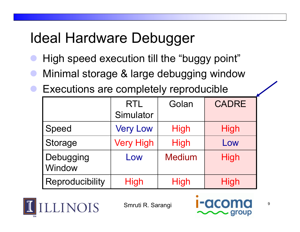# Ideal Hardware Debugger

- $\bullet$ High speed execution till the "buggy point"
- $\bullet$ **• Minimal storage & large debugging window**
- Executions are completely reproducible

|                     | <b>RTL</b>       | Golan         | <b>CADRE</b> |
|---------------------|------------------|---------------|--------------|
|                     | Simulator        |               |              |
| Speed               | <b>Very Low</b>  | <b>High</b>   | <b>High</b>  |
| <b>Storage</b>      | <b>Very High</b> | <b>High</b>   | Low          |
| Debugging<br>Window | Low              | <b>Medium</b> | <b>High</b>  |
| Reproducibility     | <b>High</b>      | <b>High</b>   | <b>High</b>  |



Smruti R. Sarangi



9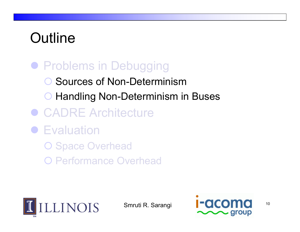# **Outline**

#### **• Problems in Debugging**

- **O** Sources of Non-Determinism
- **O Handling Non-Determinism in Buses**
- CADRE Architecture
- **Evaluation** 
	- O Space Overhead
	- { Performance Overhead



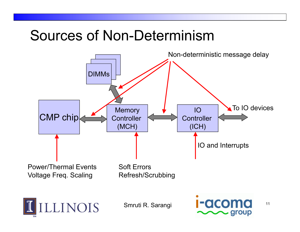## Sources of Non-Determinism

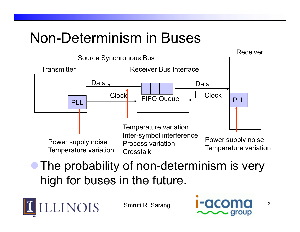## Non-Determinism in Buses



#### • The probability of non-determinism is very high for buses in the future.



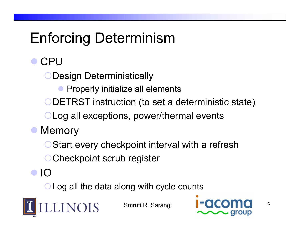# Enforcing Determinism

 $\bullet$ CPU

Design Deterministically

 $\bullet$ Properly initialize all elements

{DETRST instruction (to set <sup>a</sup> deterministic state)

**OLog all exceptions, power/thermal events** 

- $\bullet$ **Memory** 
	- **O Start every checkpoint interval with a refresh**
	- **OCheckpoint scrub register**
- $\bullet$  IO

**OLog all the data along with cycle counts** 



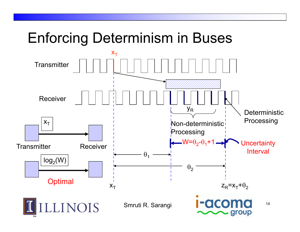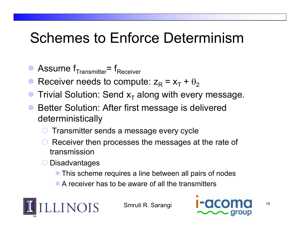## Schemes to Enforce Determinism

- $\bullet$ Assume  $f_{Transmitter} = f_{Receiver}$
- $\bullet$ Receiver needs to compute:  $z_R = x_T + \theta_2$
- $\bullet$ **• Trivial Solution: Send**  $x<sub>T</sub>$  **along with every message.**
- **Better Solution: After first message is delivered** deterministically
	- ${\color{black} \bigcirc}$  $\circlearrowright$  Transmitter sends a message every cycle
	- ${\color{black} \bigcirc}$  Receiver then processes the messages at the rate of transmission
	- **O** Disadvantages
		- **This scheme requires a line between all pairs of nodes**
		- $\bullet$  A receiver has to be aware of all the transmitters



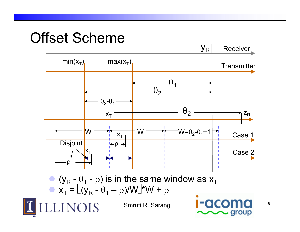#### Offset Scheme

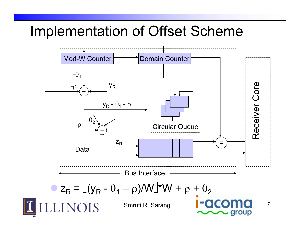#### Implementation of Offset Scheme

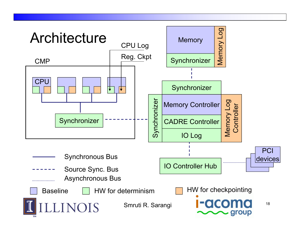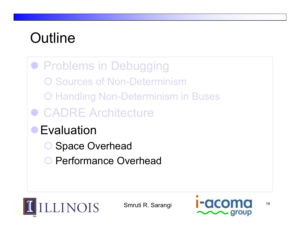# **Outline**

**• Problems in Debugging O Sources of Non-Determinism** { Handling Non-Determinism in Buses ● CADRE Architecture **• Evaluation Space Overhead O** Performance Overhead



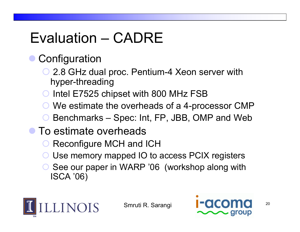# Evaluation – CADRE

#### $\bullet$ **Configuration**

- **O 2.8 GHz dual proc. Pentium-4 Xeon server with** hyper-threading
- ${\color{black} \bigcirc}$ Intel E7525 chipset with 800 MHz FSB
- ${\color{black} \bigcirc}$ We estimate the overheads of a 4-processor CMP
- ${\color{black} \bigcirc}$ Benchmarks – Spec: Int, FP, JBB, OMP and Web
- $\bullet$  To estimate overheads
	- ${\color{black} \bigcirc}$ Reconfigure MCH and ICH
	- ${\color{black} \bigcirc}$ Use memory mapped IO to access PCIX registers
	- ◯ See our paper in WARP '06 (workshop along with ISCA '06)



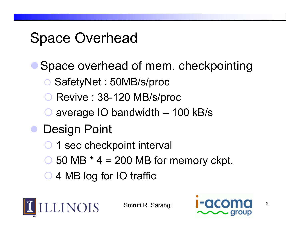## Space Overhead

- $\bullet$ Space overhead of mem. checkpointing
	- { SafetyNet : 50MB/s/proc
	- ${\color{black} \bigcirc}$ O Revive: 38-120 MB/s/proc
	- ${\color{black} \bigcirc}$ average IO bandwidth – 100 kB/s
- $\bullet$  Design Point
	- ${\color{black} \bigcirc}$ 1 sec checkpoint interval
	- $\bigcirc$  50 MB  $*$  4 = 200 MB for memory ckpt.
	- 4 MB log for IO traffic



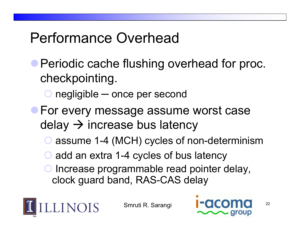## Performance Overhead

- **Periodic cache flushing overhead for proc.** checkpointing.
	- ${\color{black} \bigcirc}$ ○ negligible — once per second
- **For every message assume worst case** delay  $\rightarrow$  increase bus latency
	- ${\color{black} \bigcirc}$ assume 1-4 (MCH) cycles of non-determinism
	- ${\color{black} \bigcirc}$  $\circ$  add an extra 1-4 cycles of bus latency
	- ${\color{black} \bigcirc}$  Increase programmable read pointer delay, clock guard band, RAS-CAS delay



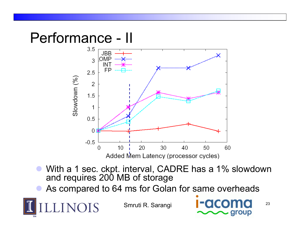#### Performance - II

**LINOIS** 



- $\bullet$ ● With a 1 sec. ckpt. interval, CADRE has a 1% slowdown and requires 200 MB of storage
- $\bullet$ **• As compared to 64 ms for Golan for same overheads**

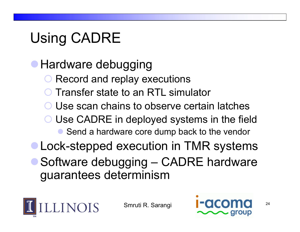# Using CADRE

**• Hardware debugging** 

- ${\color{black} \bigcirc}$ Record and replay executions
- ${\color{black} \bigcirc}$ Transfer state to an RTL simulator
- ${\color{black} \bigcirc}$ Use scan chains to observe certain latches
- ${\color{black} \bigcirc}$  Use CADRE in deployed systems in the field  $\bullet$ Send a hardware core dump back to the vendor
- Lock-stepped execution in TMR systems
- Software debugging CADRE hardware guarantees determinism